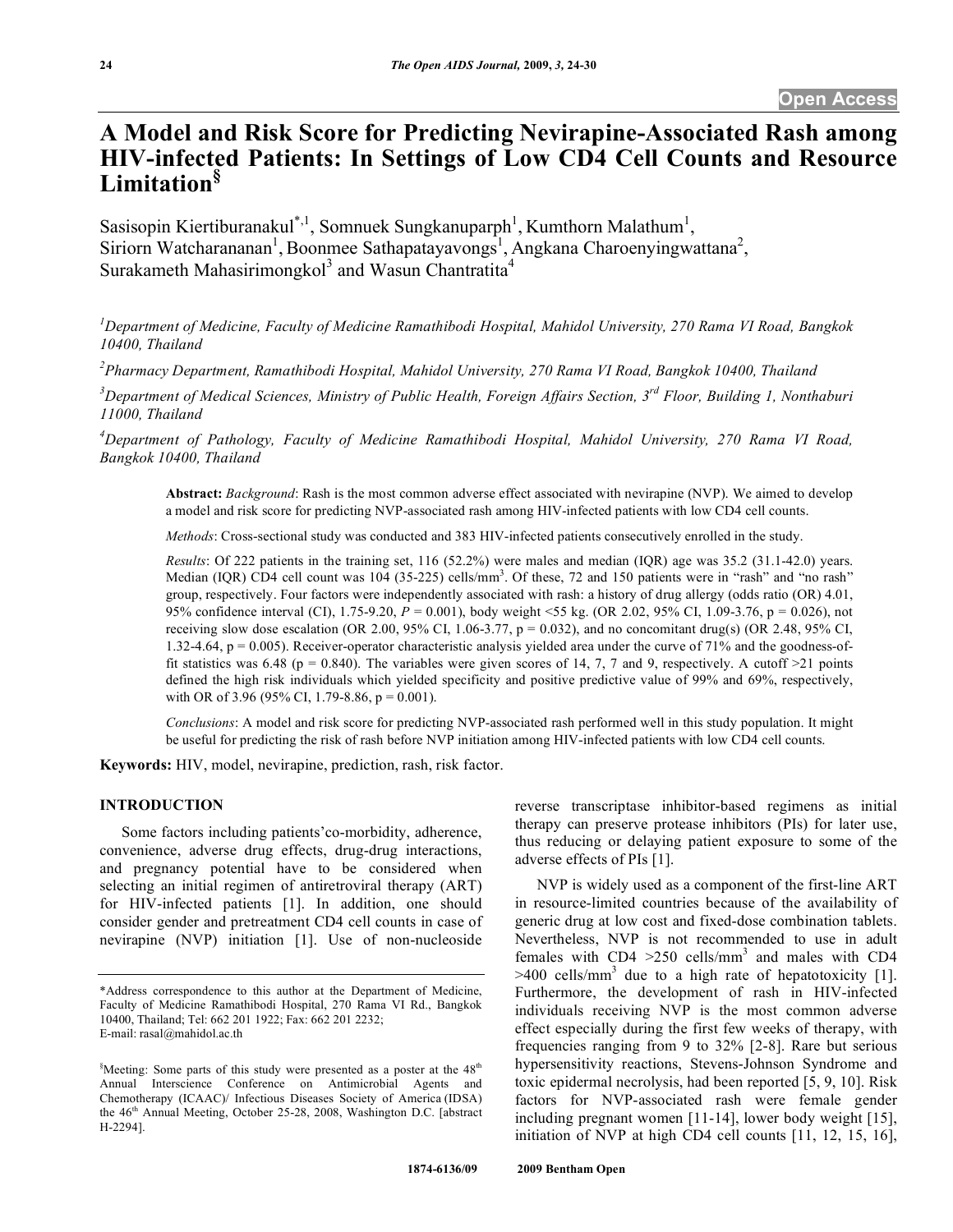# **A Model and Risk Score for Predicting Nevirapine-Associated Rash among HIV-infected Patients: In Settings of Low CD4 Cell Counts and Resource Limitation§**

Sasisopin Kiertiburanakul\*,<sup>1</sup>, Somnuek Sungkanuparph<sup>1</sup>, Kumthorn Malathum<sup>1</sup>, Siriorn Watcharananan<sup>1</sup>, Boonmee Sathapatayavongs<sup>1</sup>, Angkana Charoenyingwattana<sup>2</sup>, Surakameth Mahasirimongkol<sup>3</sup> and Wasun Chantratita<sup>4</sup>

*1 Department of Medicine, Faculty of Medicine Ramathibodi Hospital, Mahidol University, 270 Rama VI Road, Bangkok 10400, Thailand* 

*2 Pharmacy Department, Ramathibodi Hospital, Mahidol University, 270 Rama VI Road, Bangkok 10400, Thailand* 

*3 Department of Medical Sciences, Ministry of Public Health, Foreign Affairs Section, 3rd Floor, Building 1, Nonthaburi 11000, Thailand* 

*4 Department of Pathology, Faculty of Medicine Ramathibodi Hospital, Mahidol University, 270 Rama VI Road, Bangkok 10400, Thailand* 

**Abstract:** *Background*: Rash is the most common adverse effect associated with nevirapine (NVP). We aimed to develop a model and risk score for predicting NVP-associated rash among HIV-infected patients with low CD4 cell counts.

*Methods*: Cross-sectional study was conducted and 383 HIV-infected patients consecutively enrolled in the study.

*Results*: Of 222 patients in the training set, 116 (52.2%) were males and median (IQR) age was 35.2 (31.1-42.0) years. Median (IQR) CD4 cell count was  $104$  (35-225) cells/mm<sup>3</sup>. Of these, 72 and 150 patients were in "rash" and "no rash" group, respectively. Four factors were independently associated with rash: a history of drug allergy (odds ratio (OR) 4.01, 95% confidence interval (CI), 1.75-9.20, *P* = 0.001), body weight <55 kg. (OR 2.02, 95% CI, 1.09-3.76, p = 0.026), not receiving slow dose escalation (OR 2.00, 95% CI, 1.06-3.77,  $p = 0.032$ ), and no concomitant drug(s) (OR 2.48, 95% CI, 1.32-4.64, p = 0.005). Receiver-operator characteristic analysis yielded area under the curve of 71% and the goodness-offit statistics was 6.48 (p = 0.840). The variables were given scores of 14, 7, 7 and 9, respectively. A cutoff >21 points defined the high risk individuals which yielded specificity and positive predictive value of 99% and 69%, respectively, with OR of 3.96 (95% CI, 1.79-8.86,  $p = 0.001$ ).

*Conclusions*: A model and risk score for predicting NVP-associated rash performed well in this study population. It might be useful for predicting the risk of rash before NVP initiation among HIV-infected patients with low CD4 cell counts.

**Keywords:** HIV, model, nevirapine, prediction, rash, risk factor.

## **INTRODUCTION**

 Some factors including patients'co-morbidity, adherence, convenience, adverse drug effects, drug-drug interactions, and pregnancy potential have to be considered when selecting an initial regimen of antiretroviral therapy (ART) for HIV-infected patients [1]. In addition, one should consider gender and pretreatment CD4 cell counts in case of nevirapine (NVP) initiation [1]. Use of non-nucleoside reverse transcriptase inhibitor-based regimens as initial therapy can preserve protease inhibitors (PIs) for later use, thus reducing or delaying patient exposure to some of the adverse effects of PIs [1].

 NVP is widely used as a component of the first-line ART in resource-limited countries because of the availability of generic drug at low cost and fixed-dose combination tablets. Nevertheless, NVP is not recommended to use in adult females with  $CD4 > 250$  cells/mm<sup>3</sup> and males with  $CD4$  $>400$  cells/mm<sup>3</sup> due to a high rate of hepatotoxicity [1]. Furthermore, the development of rash in HIV-infected individuals receiving NVP is the most common adverse effect especially during the first few weeks of therapy, with frequencies ranging from 9 to 32% [2-8]. Rare but serious hypersensitivity reactions, Stevens-Johnson Syndrome and toxic epidermal necrolysis, had been reported [5, 9, 10]. Risk factors for NVP-associated rash were female gender including pregnant women [11-14], lower body weight [15], initiation of NVP at high CD4 cell counts [11, 12, 15, 16],

<sup>\*</sup>Address correspondence to this author at the Department of Medicine, Faculty of Medicine Ramathibodi Hospital, 270 Rama VI Rd., Bangkok 10400, Thailand; Tel: 662 201 1922; Fax: 662 201 2232; E-mail: rasal@mahidol.ac.th

 $$$ Meeting: Some parts of this study were presented as a poster at the 48<sup>th</sup> Annual Interscience Conference on Antimicrobial Agents and Chemotherapy (ICAAC)/ Infectious Diseases Society of America (IDSA) the 46<sup>th</sup> Annual Meeting, October 25-28, 2008, Washington D.C. [abstract H-2294].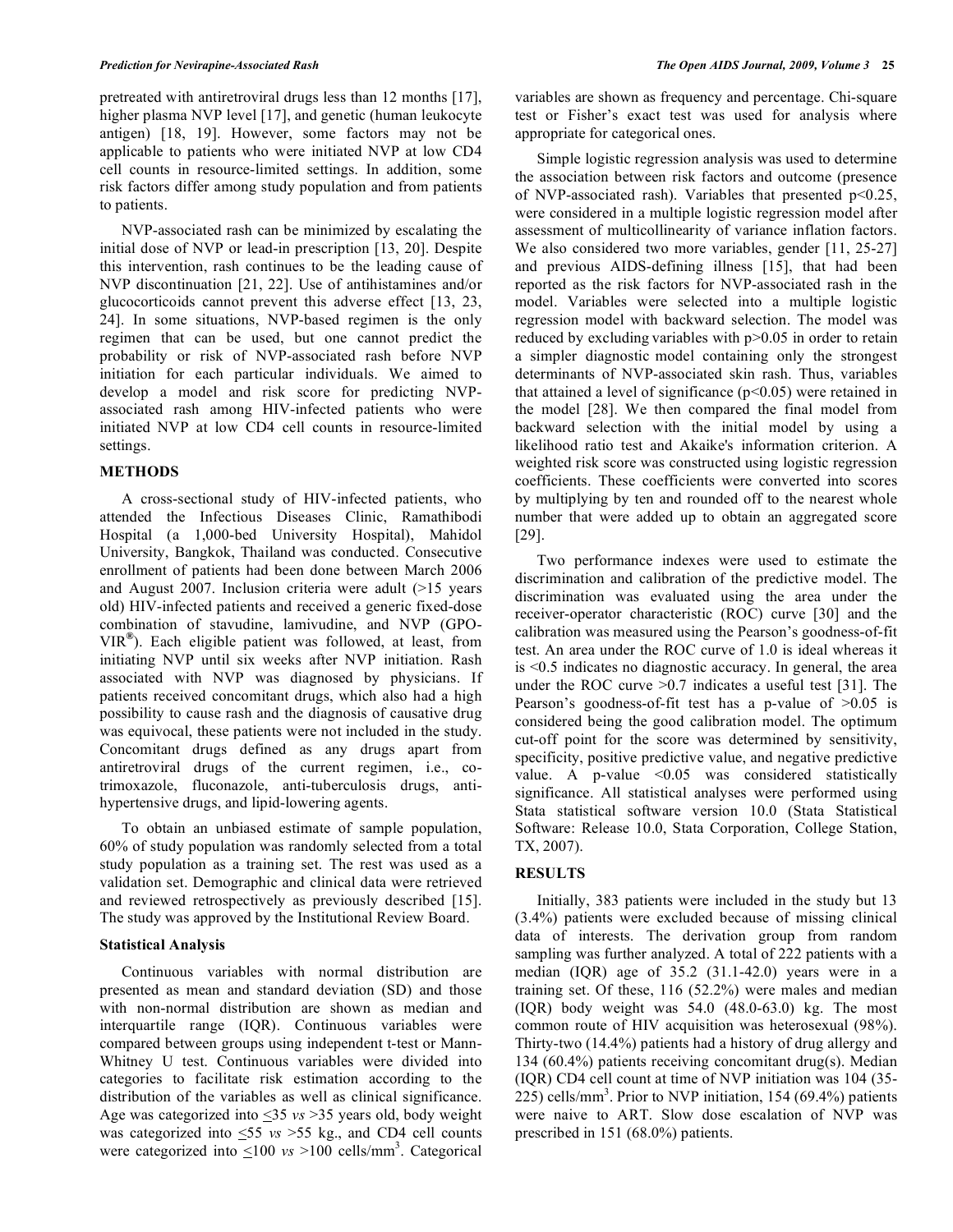pretreated with antiretroviral drugs less than 12 months [17], higher plasma NVP level [17], and genetic (human leukocyte antigen) [18, 19]. However, some factors may not be applicable to patients who were initiated NVP at low CD4 cell counts in resource-limited settings. In addition, some risk factors differ among study population and from patients to patients.

 NVP-associated rash can be minimized by escalating the initial dose of NVP or lead-in prescription [13, 20]. Despite this intervention, rash continues to be the leading cause of NVP discontinuation [21, 22]. Use of antihistamines and/or glucocorticoids cannot prevent this adverse effect [13, 23, 24]. In some situations, NVP-based regimen is the only regimen that can be used, but one cannot predict the probability or risk of NVP-associated rash before NVP initiation for each particular individuals. We aimed to develop a model and risk score for predicting NVPassociated rash among HIV-infected patients who were initiated NVP at low CD4 cell counts in resource-limited settings.

#### **METHODS**

 A cross-sectional study of HIV-infected patients, who attended the Infectious Diseases Clinic, Ramathibodi Hospital (a 1,000-bed University Hospital), Mahidol University, Bangkok, Thailand was conducted. Consecutive enrollment of patients had been done between March 2006 and August 2007. Inclusion criteria were adult (>15 years old) HIV-infected patients and received a generic fixed-dose combination of stavudine, lamivudine, and NVP (GPO-VIR**®**). Each eligible patient was followed, at least, from initiating NVP until six weeks after NVP initiation. Rash associated with NVP was diagnosed by physicians. If patients received concomitant drugs, which also had a high possibility to cause rash and the diagnosis of causative drug was equivocal, these patients were not included in the study. Concomitant drugs defined as any drugs apart from antiretroviral drugs of the current regimen, i.e., cotrimoxazole, fluconazole, anti-tuberculosis drugs, antihypertensive drugs, and lipid-lowering agents.

 To obtain an unbiased estimate of sample population, 60% of study population was randomly selected from a total study population as a training set. The rest was used as a validation set. Demographic and clinical data were retrieved and reviewed retrospectively as previously described [15]. The study was approved by the Institutional Review Board.

## **Statistical Analysis**

 Continuous variables with normal distribution are presented as mean and standard deviation (SD) and those with non-normal distribution are shown as median and interquartile range (IQR). Continuous variables were compared between groups using independent t-test or Mann-Whitney U test. Continuous variables were divided into categories to facilitate risk estimation according to the distribution of the variables as well as clinical significance. Age was categorized into <35 *vs* >35 years old, body weight was categorized into <55 *vs* >55 kg., and CD4 cell counts were categorized into  $\leq 100$  *vs* >100 cells/mm<sup>3</sup>. Categorical variables are shown as frequency and percentage. Chi-square test or Fisher's exact test was used for analysis where appropriate for categorical ones.

 Simple logistic regression analysis was used to determine the association between risk factors and outcome (presence of NVP-associated rash). Variables that presented  $p<0.25$ , were considered in a multiple logistic regression model after assessment of multicollinearity of variance inflation factors. We also considered two more variables, gender [11, 25-27] and previous AIDS-defining illness [15], that had been reported as the risk factors for NVP-associated rash in the model. Variables were selected into a multiple logistic regression model with backward selection. The model was reduced by excluding variables with  $p > 0.05$  in order to retain a simpler diagnostic model containing only the strongest determinants of NVP-associated skin rash. Thus, variables that attained a level of significance  $(p<0.05)$  were retained in the model [28]. We then compared the final model from backward selection with the initial model by using a likelihood ratio test and Akaike's information criterion. A weighted risk score was constructed using logistic regression coefficients. These coefficients were converted into scores by multiplying by ten and rounded off to the nearest whole number that were added up to obtain an aggregated score [29].

 Two performance indexes were used to estimate the discrimination and calibration of the predictive model. The discrimination was evaluated using the area under the receiver-operator characteristic (ROC) curve [30] and the calibration was measured using the Pearson's goodness-of-fit test. An area under the ROC curve of 1.0 is ideal whereas it is <0.5 indicates no diagnostic accuracy. In general, the area under the ROC curve >0.7 indicates a useful test [31]. The Pearson's goodness-of-fit test has a p-value of  $>0.05$  is considered being the good calibration model. The optimum cut-off point for the score was determined by sensitivity, specificity, positive predictive value, and negative predictive value. A p-value <0.05 was considered statistically significance. All statistical analyses were performed using Stata statistical software version 10.0 (Stata Statistical Software: Release 10.0, Stata Corporation, College Station, TX, 2007).

# **RESULTS**

 Initially, 383 patients were included in the study but 13 (3.4%) patients were excluded because of missing clinical data of interests. The derivation group from random sampling was further analyzed. A total of 222 patients with a median (IQR) age of 35.2 (31.1-42.0) years were in a training set. Of these, 116 (52.2%) were males and median (IQR) body weight was 54.0 (48.0-63.0) kg. The most common route of HIV acquisition was heterosexual (98%). Thirty-two (14.4%) patients had a history of drug allergy and 134 (60.4%) patients receiving concomitant drug(s). Median (IQR) CD4 cell count at time of NVP initiation was 104 (35- 225) cells/mm<sup>3</sup>. Prior to NVP initiation, 154 (69.4%) patients were naive to ART. Slow dose escalation of NVP was prescribed in 151 (68.0%) patients.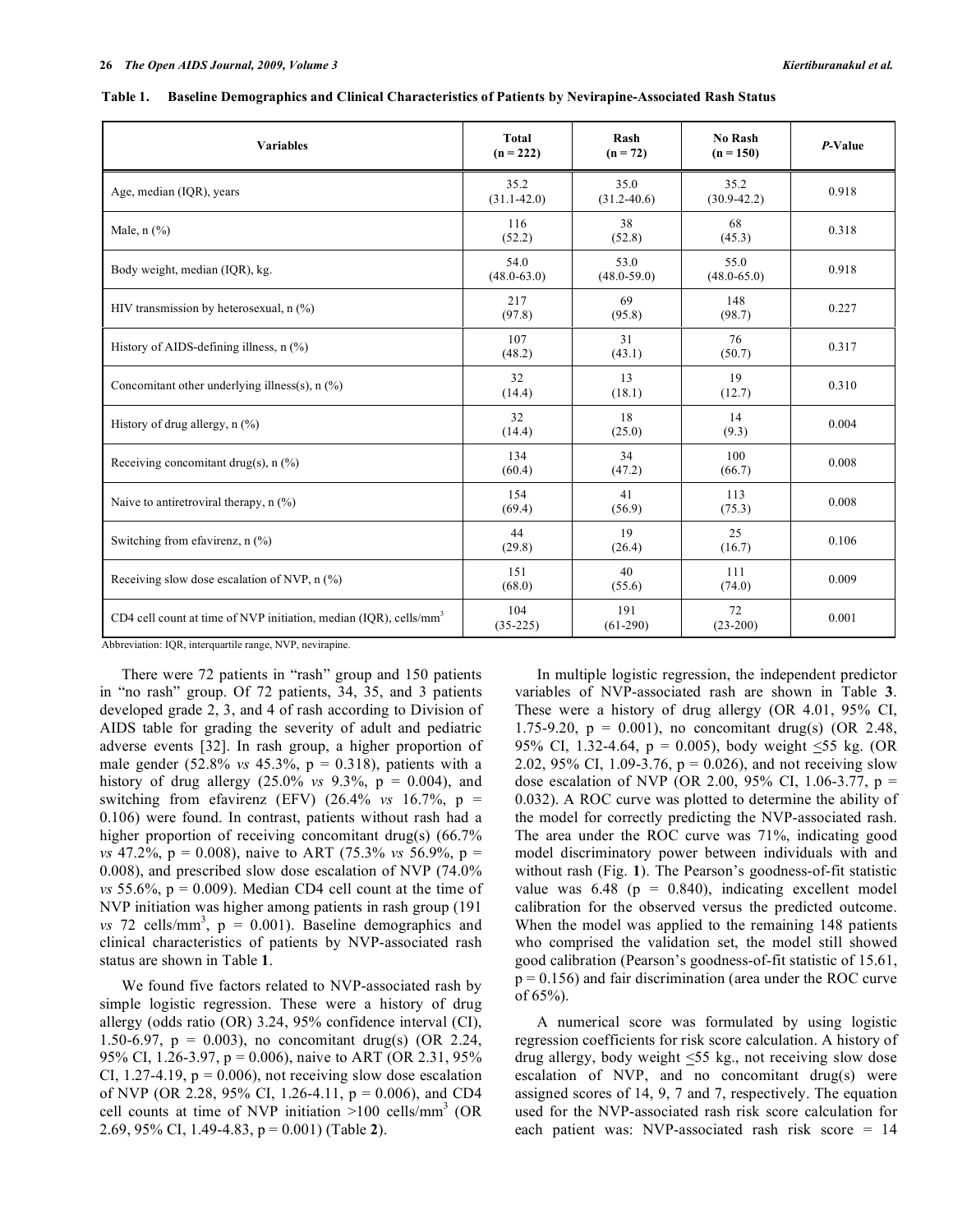| <b>Variables</b>                                                              | <b>Total</b><br>$(n = 222)$ | Rash<br>$(n = 72)$      | No Rash<br>$(n = 150)$  | P-Value |
|-------------------------------------------------------------------------------|-----------------------------|-------------------------|-------------------------|---------|
| Age, median (IQR), years                                                      | 35.2<br>$(31.1 - 42.0)$     | 35.0<br>$(31.2 - 40.6)$ | 35.2<br>$(30.9 - 42.2)$ | 0.918   |
| Male, $n$ $(\%)$                                                              | 116<br>(52.2)               | 38<br>(52.8)            | 68<br>(45.3)            | 0.318   |
| Body weight, median (IQR), kg.                                                | 54.0<br>$(48.0 - 63.0)$     | 53.0<br>$(48.0 - 59.0)$ | 55.0<br>$(48.0 - 65.0)$ | 0.918   |
| HIV transmission by heterosexual, $n$ (%)                                     | 217<br>(97.8)               | 69<br>(95.8)            | 148<br>(98.7)           | 0.227   |
| History of AIDS-defining illness, $n$ (%)                                     | 107<br>(48.2)               | 31<br>(43.1)            | 76<br>(50.7)            | 0.317   |
| Concomitant other underlying illness(s), $n$ (%)                              | 32<br>(14.4)                | 13<br>(18.1)            | 19<br>(12.7)            | 0.310   |
| History of drug allergy, n (%)                                                | 32<br>(14.4)                | 18<br>(25.0)            | 14<br>(9.3)             | 0.004   |
| Receiving concomitant drug(s), $n$ (%)                                        | 134<br>(60.4)               | 34<br>(47.2)            | 100<br>(66.7)           | 0.008   |
| Naive to antiretroviral therapy, $n$ (%)                                      | 154<br>(69.4)               | 41<br>(56.9)            | 113<br>(75.3)           | 0.008   |
| Switching from efavirenz, n (%)                                               | 44<br>(29.8)                | 19<br>(26.4)            | 25<br>(16.7)            | 0.106   |
| Receiving slow dose escalation of NVP, $n$ (%)                                | 151<br>(68.0)               | 40<br>(55.6)            | 111<br>(74.0)           | 0.009   |
| CD4 cell count at time of NVP initiation, median (IQR), cells/mm <sup>3</sup> | 104<br>$(35-225)$           | 191<br>$(61-290)$       | 72<br>$(23-200)$        | 0.001   |

**Table 1. Baseline Demographics and Clinical Characteristics of Patients by Nevirapine-Associated Rash Status** 

Abbreviation: IQR, interquartile range, NVP, nevirapine.

 There were 72 patients in "rash" group and 150 patients in "no rash" group. Of 72 patients, 34, 35, and 3 patients developed grade 2, 3, and 4 of rash according to Division of AIDS table for grading the severity of adult and pediatric adverse events [32]. In rash group, a higher proportion of male gender (52.8% *vs* 45.3%, p = 0.318), patients with a history of drug allergy (25.0% *vs* 9.3%, p = 0.004), and switching from efavirenz (EFV)  $(26.4\% \text{ vs } 16.7\% \text{, } p =$ 0.106) were found. In contrast, patients without rash had a higher proportion of receiving concomitant drug(s) (66.7% *vs* 47.2%, p = 0.008), naive to ART (75.3% *vs* 56.9%, p = 0.008), and prescribed slow dose escalation of NVP (74.0% *vs* 55.6%,  $p = 0.009$ . Median CD4 cell count at the time of NVP initiation was higher among patients in rash group (191  $vs$  72 cells/mm<sup>3</sup>,  $p = 0.001$ ). Baseline demographics and clinical characteristics of patients by NVP-associated rash status are shown in Table **1**.

 We found five factors related to NVP-associated rash by simple logistic regression. These were a history of drug allergy (odds ratio (OR) 3.24, 95% confidence interval (CI), 1.50-6.97,  $p = 0.003$ ), no concomitant drug(s) (OR 2.24, 95% CI, 1.26-3.97, p = 0.006), naive to ART (OR 2.31, 95% CI, 1.27-4.19,  $p = 0.006$ ), not receiving slow dose escalation of NVP (OR 2.28, 95% CI, 1.26-4.11,  $p = 0.006$ ), and CD4 cell counts at time of NVP initiation  $>100$  cells/mm<sup>3</sup> (OR 2.69, 95% CI, 1.49-4.83, p = 0.001) (Table **2**).

 In multiple logistic regression, the independent predictor variables of NVP-associated rash are shown in Table **3**. These were a history of drug allergy (OR 4.01, 95% CI, 1.75-9.20,  $p = 0.001$ ), no concomitant drug(s) (OR 2.48, 95% CI, 1.32-4.64,  $p = 0.005$ ), body weight <55 kg. (OR 2.02, 95% CI, 1.09-3.76,  $p = 0.026$ ), and not receiving slow dose escalation of NVP (OR 2.00, 95% CI, 1.06-3.77,  $p =$ 0.032). A ROC curve was plotted to determine the ability of the model for correctly predicting the NVP-associated rash. The area under the ROC curve was 71%, indicating good model discriminatory power between individuals with and without rash (Fig. **1**). The Pearson's goodness-of-fit statistic value was  $6.48$  (p = 0.840), indicating excellent model calibration for the observed versus the predicted outcome. When the model was applied to the remaining 148 patients who comprised the validation set, the model still showed good calibration (Pearson's goodness-of-fit statistic of 15.61,  $p = 0.156$ ) and fair discrimination (area under the ROC curve of 65%).

 A numerical score was formulated by using logistic regression coefficients for risk score calculation. A history of drug allergy, body weight  $\leq 55$  kg., not receiving slow dose escalation of NVP, and no concomitant drug(s) were assigned scores of 14, 9, 7 and 7, respectively. The equation used for the NVP-associated rash risk score calculation for each patient was: NVP-associated rash risk score = 14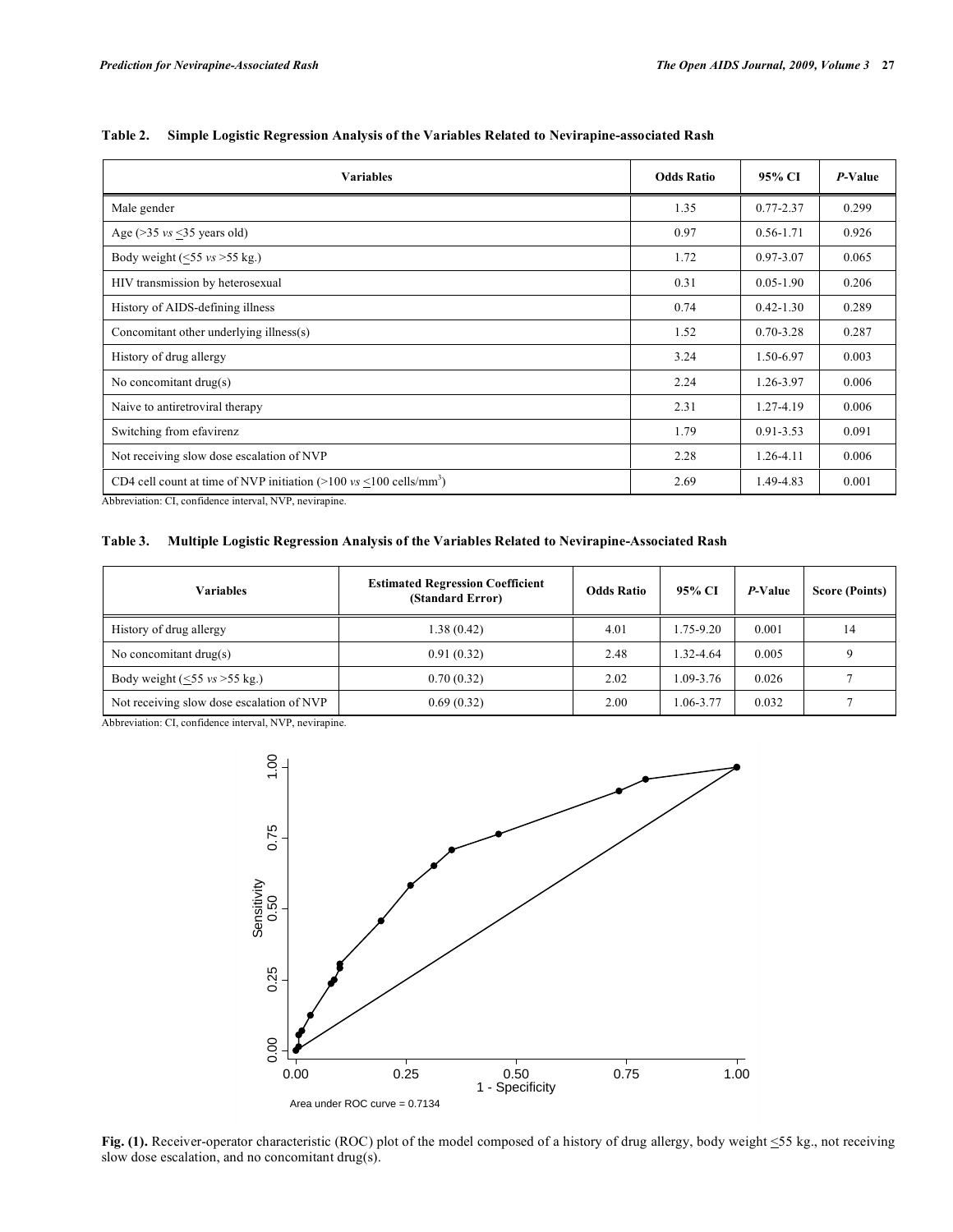| <b>Variables</b>                                                                                                                                                                                                                                                                                                                                                                                     | <b>Odds Ratio</b> | 95% CI        | P-Value |
|------------------------------------------------------------------------------------------------------------------------------------------------------------------------------------------------------------------------------------------------------------------------------------------------------------------------------------------------------------------------------------------------------|-------------------|---------------|---------|
| Male gender                                                                                                                                                                                                                                                                                                                                                                                          | 1.35              | $0.77 - 2.37$ | 0.299   |
| Age ( $>$ 35 <i>vs</i> $<$ 35 years old)                                                                                                                                                                                                                                                                                                                                                             | 0.97              | $0.56 - 1.71$ | 0.926   |
| Body weight $(\leq 55 \text{ vs } > 55 \text{ kg.})$                                                                                                                                                                                                                                                                                                                                                 | 1.72              | $0.97 - 3.07$ | 0.065   |
| HIV transmission by heterosexual                                                                                                                                                                                                                                                                                                                                                                     | 0.31              | $0.05 - 1.90$ | 0.206   |
| History of AIDS-defining illness                                                                                                                                                                                                                                                                                                                                                                     | 0.74              | $0.42 - 1.30$ | 0.289   |
| Concomitant other underlying illness(s)                                                                                                                                                                                                                                                                                                                                                              | 1.52              | $0.70 - 3.28$ | 0.287   |
| History of drug allergy                                                                                                                                                                                                                                                                                                                                                                              | 3.24              | 1.50-6.97     | 0.003   |
| No concomitant $drug(s)$                                                                                                                                                                                                                                                                                                                                                                             | 2.24              | 1.26-3.97     | 0.006   |
| Naive to antiretroviral therapy                                                                                                                                                                                                                                                                                                                                                                      | 2.31              | 1.27-4.19     | 0.006   |
| Switching from efavirenz                                                                                                                                                                                                                                                                                                                                                                             | 1.79              | $0.91 - 3.53$ | 0.091   |
| Not receiving slow dose escalation of NVP                                                                                                                                                                                                                                                                                                                                                            | 2.28              | $1.26 - 4.11$ | 0.006   |
| CD4 cell count at time of NVP initiation $(>100 \text{ vs } <100 \text{ cells/mm}^3)$<br>$\mathbf{r}$ , $\mathbf{r}$ , $\mathbf{r}$ , $\mathbf{r}$ , $\mathbf{r}$ , $\mathbf{r}$ , $\mathbf{r}$ , $\mathbf{r}$ , $\mathbf{r}$ , $\mathbf{r}$ , $\mathbf{r}$ , $\mathbf{r}$ , $\mathbf{r}$ , $\mathbf{r}$ , $\mathbf{r}$ , $\mathbf{r}$ , $\mathbf{r}$ , $\mathbf{r}$ , $\mathbf{r}$ , $\mathbf{r}$ , | 2.69              | 1.49-4.83     | 0.001   |

**Table 2. Simple Logistic Regression Analysis of the Variables Related to Nevirapine-associated Rash** 

Abbreviation: CI, confidence interval, NVP, nevirapine.

**Table 3. Multiple Logistic Regression Analysis of the Variables Related to Nevirapine-Associated Rash** 

| Variables                                               | <b>Estimated Regression Coefficient</b><br>(Standard Error) | <b>Odds Ratio</b> | 95% CI        | P-Value | <b>Score (Points)</b> |
|---------------------------------------------------------|-------------------------------------------------------------|-------------------|---------------|---------|-----------------------|
| History of drug allergy                                 | 1.38 (0.42)                                                 | 4.01              | 1.75-9.20     | 0.001   | 14                    |
| No concomitant $drug(s)$                                | 0.91(0.32)                                                  | 2.48              | 1.32-4.64     | 0.005   |                       |
| Body weight $(\leq 55 \text{ vs } \geq 55 \text{ kg.})$ | 0.70(0.32)                                                  | 2.02              | $1.09 - 3.76$ | 0.026   |                       |
| Not receiving slow dose escalation of NVP               | 0.69(0.32)                                                  | 2.00              | 1.06-3.77     | 0.032   |                       |

Abbreviation: CI, confidence interval, NVP, nevirapine.



**Fig. (1).** Receiver-operator characteristic (ROC) plot of the model composed of a history of drug allergy, body weight  $\leq$ 55 kg., not receiving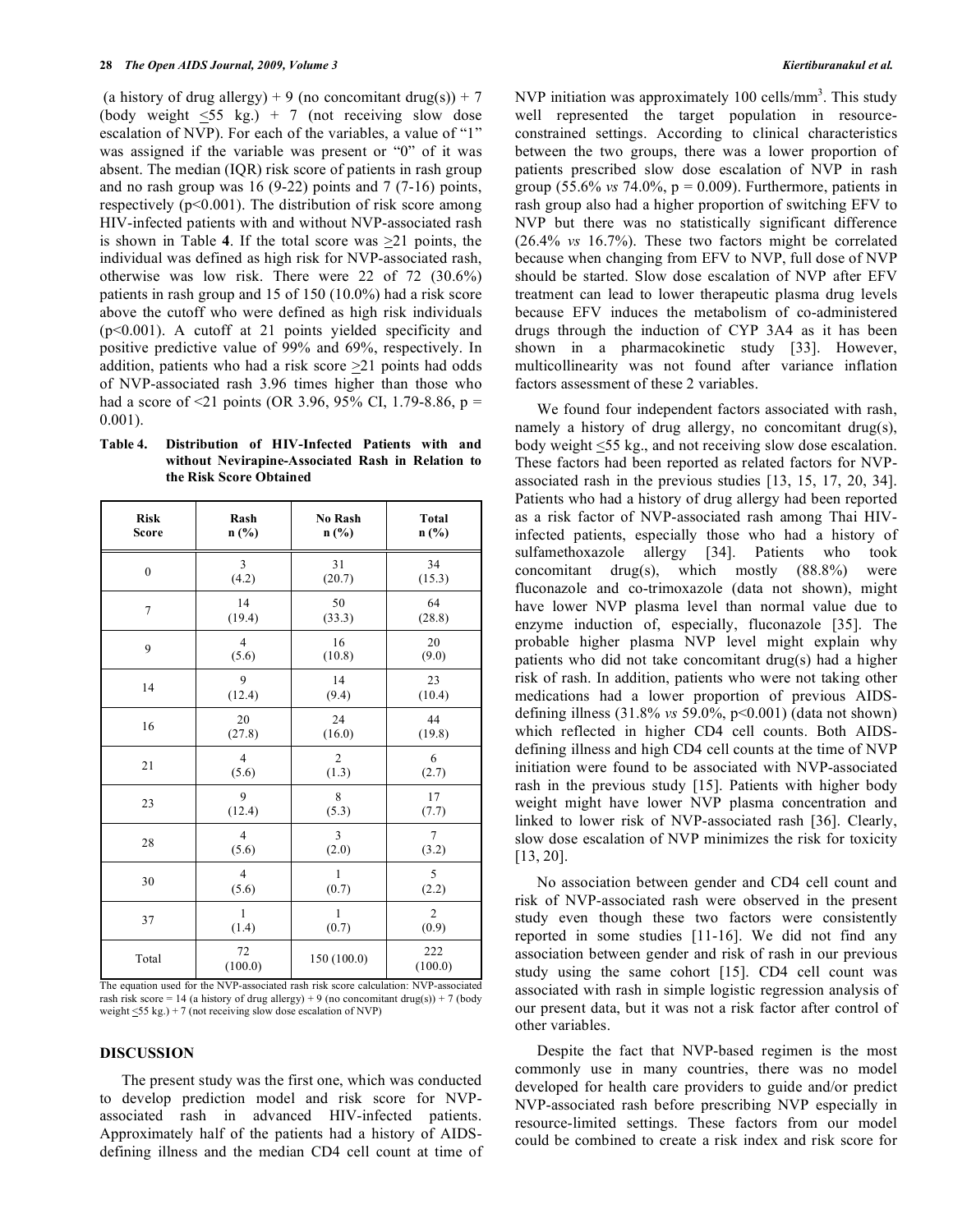(a history of drug allergy) + 9 (no concomitant drug(s)) + 7 (body weight  $\leq 55$  kg.) + 7 (not receiving slow dose escalation of NVP). For each of the variables, a value of "1" was assigned if the variable was present or "0" of it was absent. The median (IQR) risk score of patients in rash group and no rash group was 16 (9-22) points and 7 (7-16) points, respectively  $(p<0.001)$ . The distribution of risk score among HIV-infected patients with and without NVP-associated rash is shown in Table **4**. If the total score was >21 points, the individual was defined as high risk for NVP-associated rash, otherwise was low risk. There were 22 of 72 (30.6%) patients in rash group and 15 of 150 (10.0%) had a risk score above the cutoff who were defined as high risk individuals (p<0.001). A cutoff at 21 points yielded specificity and positive predictive value of 99% and 69%, respectively. In addition, patients who had a risk score  $\geq$  21 points had odds of NVP-associated rash 3.96 times higher than those who had a score of <21 points (OR 3.96, 95% CI, 1.79-8.86,  $p =$ 0.001).

**Table 4. Distribution of HIV-Infected Patients with and without Nevirapine-Associated Rash in Relation to the Risk Score Obtained** 

| <b>Risk</b>  | Rash           | No Rash        | <b>Total</b>   |
|--------------|----------------|----------------|----------------|
| <b>Score</b> | n(%)           | n(%)           | n(%)           |
| $\theta$     | 3              | 31             | 34             |
|              | (4.2)          | (20.7)         | (15.3)         |
| 7            | 14             | 50             | 64             |
|              | (19.4)         | (33.3)         | (28.8)         |
| 9            | $\overline{4}$ | 16             | 20             |
|              | (5.6)          | (10.8)         | (9.0)          |
| 14           | 9              | 14             | 23             |
|              | (12.4)         | (9.4)          | (10.4)         |
| 16           | 20             | 24             | 44             |
|              | (27.8)         | (16.0)         | (19.8)         |
| 21           | $\overline{4}$ | $\overline{2}$ | 6              |
|              | (5.6)          | (1.3)          | (2.7)          |
| 23           | 9              | 8              | 17             |
|              | (12.4)         | (5.3)          | (7.7)          |
| 28           | $\overline{4}$ | 3              | $\overline{7}$ |
|              | (5.6)          | (2.0)          | (3.2)          |
| 30           | $\overline{4}$ | $\mathbf{1}$   | 5              |
|              | (5.6)          | (0.7)          | (2.2)          |
| 37           | $\mathbf{1}$   | $\mathbf{1}$   | $\overline{2}$ |
|              | (1.4)          | (0.7)          | (0.9)          |
| Total        | 72<br>(100.0)  | 150 (100.0)    | 222<br>(100.0) |

The equation used for the NVP-associated rash risk score calculation: NVP-associated rash risk score = 14 (a history of drug allergy) + 9 (no concomitant drug(s)) + 7 (body weight <55 kg.) + 7 (not receiving slow dose escalation of NVP)

#### **DISCUSSION**

 The present study was the first one, which was conducted to develop prediction model and risk score for NVPassociated rash in advanced HIV-infected patients. Approximately half of the patients had a history of AIDSdefining illness and the median CD4 cell count at time of

NVP initiation was approximately  $100$  cells/mm<sup>3</sup>. This study well represented the target population in resourceconstrained settings. According to clinical characteristics between the two groups, there was a lower proportion of patients prescribed slow dose escalation of NVP in rash group (55.6% *vs* 74.0%,  $p = 0.009$ ). Furthermore, patients in rash group also had a higher proportion of switching EFV to NVP but there was no statistically significant difference (26.4% *vs* 16.7%). These two factors might be correlated because when changing from EFV to NVP, full dose of NVP should be started. Slow dose escalation of NVP after EFV treatment can lead to lower therapeutic plasma drug levels because EFV induces the metabolism of co-administered drugs through the induction of CYP 3A4 as it has been shown in a pharmacokinetic study [33]. However, multicollinearity was not found after variance inflation factors assessment of these 2 variables.

 We found four independent factors associated with rash, namely a history of drug allergy, no concomitant drug(s), body weight <55 kg., and not receiving slow dose escalation. These factors had been reported as related factors for NVPassociated rash in the previous studies [13, 15, 17, 20, 34]. Patients who had a history of drug allergy had been reported as a risk factor of NVP-associated rash among Thai HIVinfected patients, especially those who had a history of sulfamethoxazole allergy [34]. Patients who took concomitant drug(s), which mostly (88.8%) were fluconazole and co-trimoxazole (data not shown), might have lower NVP plasma level than normal value due to enzyme induction of, especially, fluconazole [35]. The probable higher plasma NVP level might explain why patients who did not take concomitant drug(s) had a higher risk of rash. In addition, patients who were not taking other medications had a lower proportion of previous AIDSdefining illness (31.8% *vs* 59.0%, p<0.001) (data not shown) which reflected in higher CD4 cell counts. Both AIDSdefining illness and high CD4 cell counts at the time of NVP initiation were found to be associated with NVP-associated rash in the previous study [15]. Patients with higher body weight might have lower NVP plasma concentration and linked to lower risk of NVP-associated rash [36]. Clearly, slow dose escalation of NVP minimizes the risk for toxicity [13, 20].

 No association between gender and CD4 cell count and risk of NVP-associated rash were observed in the present study even though these two factors were consistently reported in some studies [11-16]. We did not find any association between gender and risk of rash in our previous study using the same cohort [15]. CD4 cell count was associated with rash in simple logistic regression analysis of our present data, but it was not a risk factor after control of other variables.

 Despite the fact that NVP-based regimen is the most commonly use in many countries, there was no model developed for health care providers to guide and/or predict NVP-associated rash before prescribing NVP especially in resource-limited settings. These factors from our model could be combined to create a risk index and risk score for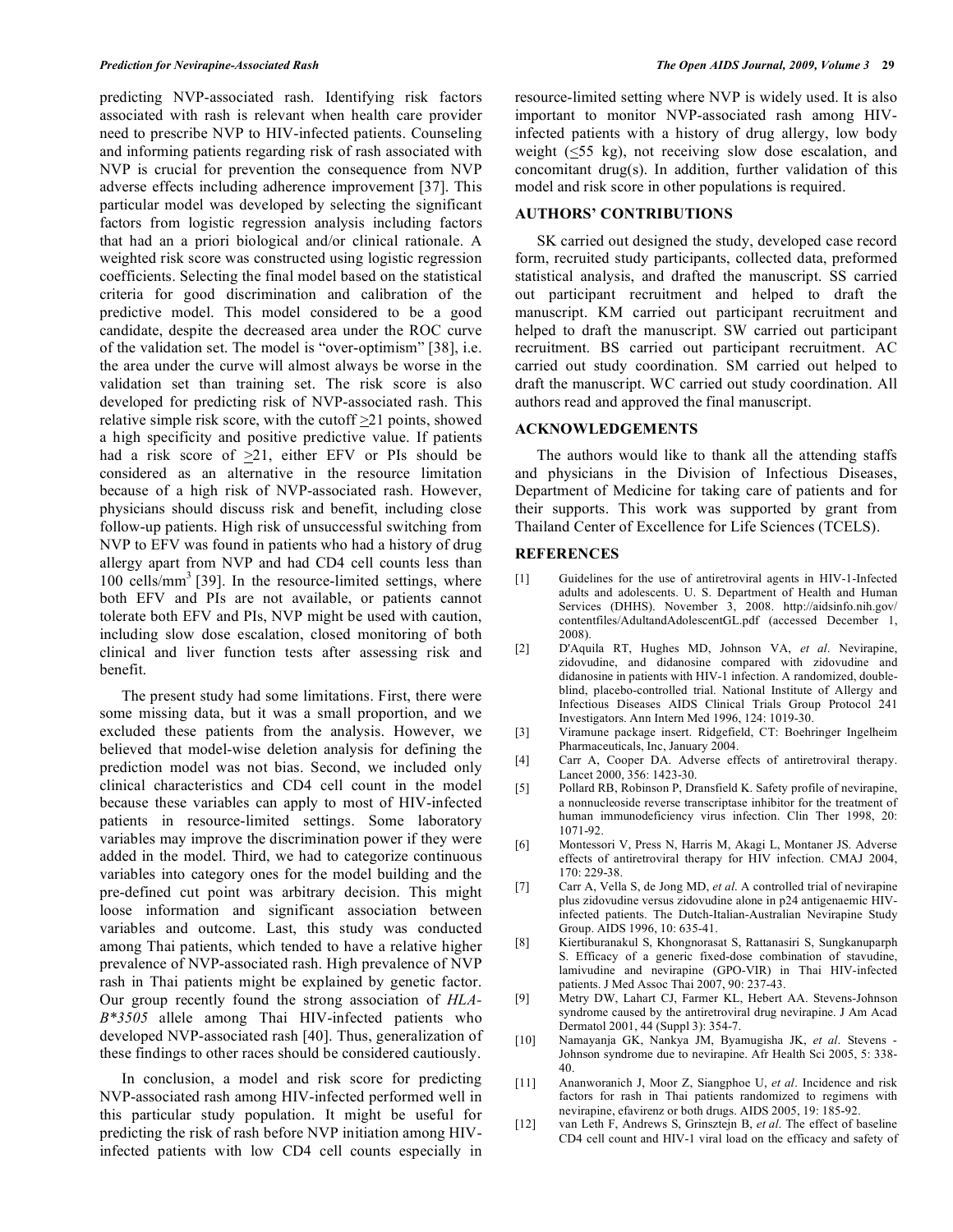predicting NVP-associated rash. Identifying risk factors associated with rash is relevant when health care provider need to prescribe NVP to HIV-infected patients. Counseling and informing patients regarding risk of rash associated with NVP is crucial for prevention the consequence from NVP adverse effects including adherence improvement [37]. This particular model was developed by selecting the significant factors from logistic regression analysis including factors that had an a priori biological and/or clinical rationale. A weighted risk score was constructed using logistic regression coefficients. Selecting the final model based on the statistical criteria for good discrimination and calibration of the predictive model. This model considered to be a good candidate, despite the decreased area under the ROC curve of the validation set. The model is "over-optimism" [38], i.e. the area under the curve will almost always be worse in the validation set than training set. The risk score is also developed for predicting risk of NVP-associated rash. This relative simple risk score, with the cutoff  $\geq 21$  points, showed a high specificity and positive predictive value. If patients had a risk score of  $>21$ , either EFV or PIs should be considered as an alternative in the resource limitation because of a high risk of NVP-associated rash. However, physicians should discuss risk and benefit, including close follow-up patients. High risk of unsuccessful switching from NVP to EFV was found in patients who had a history of drug allergy apart from NVP and had CD4 cell counts less than  $100$  cells/mm<sup>3</sup> [39]. In the resource-limited settings, where both EFV and PIs are not available, or patients cannot tolerate both EFV and PIs, NVP might be used with caution, including slow dose escalation, closed monitoring of both clinical and liver function tests after assessing risk and benefit.

 The present study had some limitations. First, there were some missing data, but it was a small proportion, and we excluded these patients from the analysis. However, we believed that model-wise deletion analysis for defining the prediction model was not bias. Second, we included only clinical characteristics and CD4 cell count in the model because these variables can apply to most of HIV-infected patients in resource-limited settings. Some laboratory variables may improve the discrimination power if they were added in the model. Third, we had to categorize continuous variables into category ones for the model building and the pre-defined cut point was arbitrary decision. This might loose information and significant association between variables and outcome. Last, this study was conducted among Thai patients, which tended to have a relative higher prevalence of NVP-associated rash. High prevalence of NVP rash in Thai patients might be explained by genetic factor. Our group recently found the strong association of *HLA-B\*3505* allele among Thai HIV-infected patients who developed NVP-associated rash [40]. Thus, generalization of these findings to other races should be considered cautiously.

 In conclusion, a model and risk score for predicting NVP-associated rash among HIV-infected performed well in this particular study population. It might be useful for predicting the risk of rash before NVP initiation among HIVinfected patients with low CD4 cell counts especially in

resource-limited setting where NVP is widely used. It is also important to monitor NVP-associated rash among HIVinfected patients with a history of drug allergy, low body weight (<55 kg), not receiving slow dose escalation, and concomitant drug(s). In addition, further validation of this model and risk score in other populations is required.

## **AUTHORS' CONTRIBUTIONS**

 SK carried out designed the study, developed case record form, recruited study participants, collected data, preformed statistical analysis, and drafted the manuscript. SS carried out participant recruitment and helped to draft the manuscript. KM carried out participant recruitment and helped to draft the manuscript. SW carried out participant recruitment. BS carried out participant recruitment. AC carried out study coordination. SM carried out helped to draft the manuscript. WC carried out study coordination. All authors read and approved the final manuscript.

# **ACKNOWLEDGEMENTS**

 The authors would like to thank all the attending staffs and physicians in the Division of Infectious Diseases, Department of Medicine for taking care of patients and for their supports. This work was supported by grant from Thailand Center of Excellence for Life Sciences (TCELS).

#### **REFERENCES**

- [1] Guidelines for the use of antiretroviral agents in HIV-1-Infected adults and adolescents. U. S. Department of Health and Human Services (DHHS). November 3, 2008. http://aidsinfo.nih.gov/ contentfiles/AdultandAdolescentGL.pdf (accessed December 1, 2008).
- [2] D'Aquila RT, Hughes MD, Johnson VA, *et al*. Nevirapine, zidovudine, and didanosine compared with zidovudine and didanosine in patients with HIV-1 infection. A randomized, doubleblind, placebo-controlled trial. National Institute of Allergy and Infectious Diseases AIDS Clinical Trials Group Protocol 241 Investigators. Ann Intern Med 1996, 124: 1019-30.
- [3] Viramune package insert. Ridgefield, CT: Boehringer Ingelheim Pharmaceuticals, Inc, January 2004.
- [4] Carr A, Cooper DA. Adverse effects of antiretroviral therapy. Lancet 2000, 356: 1423-30.
- [5] Pollard RB, Robinson P, Dransfield K. Safety profile of nevirapine, a nonnucleoside reverse transcriptase inhibitor for the treatment of human immunodeficiency virus infection. Clin Ther 1998, 20: 1071-92.
- [6] Montessori V, Press N, Harris M, Akagi L, Montaner JS. Adverse effects of antiretroviral therapy for HIV infection. CMAJ 2004,  $170.229 - 38$
- [7] Carr A, Vella S, de Jong MD, *et al*. A controlled trial of nevirapine plus zidovudine versus zidovudine alone in p24 antigenaemic HIVinfected patients. The Dutch-Italian-Australian Nevirapine Study Group. AIDS 1996, 10: 635-41.
- [8] Kiertiburanakul S, Khongnorasat S, Rattanasiri S, Sungkanuparph S. Efficacy of a generic fixed-dose combination of stavudine, lamivudine and nevirapine (GPO-VIR) in Thai HIV-infected patients. J Med Assoc Thai 2007, 90: 237-43.
- [9] Metry DW, Lahart CJ, Farmer KL, Hebert AA. Stevens-Johnson syndrome caused by the antiretroviral drug nevirapine. J Am Acad Dermatol 2001, 44 (Suppl 3): 354-7.
- [10] Namayanja GK, Nankya JM, Byamugisha JK, *et al*. Stevens Johnson syndrome due to nevirapine. Afr Health Sci 2005, 5: 338- 40.
- [11] Ananworanich J, Moor Z, Siangphoe U, *et al*. Incidence and risk factors for rash in Thai patients randomized to regimens with nevirapine, efavirenz or both drugs. AIDS 2005, 19: 185-92.
- [12] van Leth F, Andrews S, Grinsztejn B, *et al*. The effect of baseline CD4 cell count and HIV-1 viral load on the efficacy and safety of